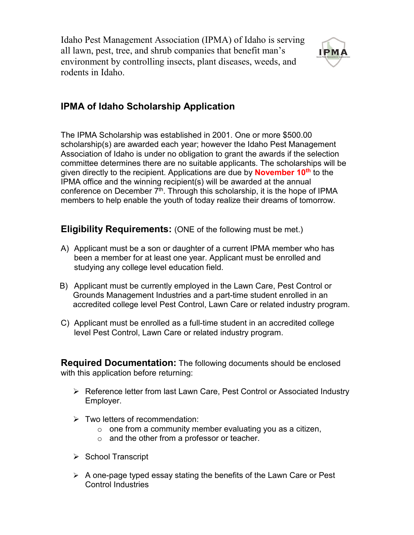Idaho Pest Management Association (IPMA) of Idaho is serving all lawn, pest, tree, and shrub companies that benefit man's environment by controlling insects, plant diseases, weeds, and rodents in Idaho.



## **IPMA of Idaho Scholarship Application**

The IPMA Scholarship was established in 2001. One or more \$500.00 scholarship(s) are awarded each year; however the Idaho Pest Management Association of Idaho is under no obligation to grant the awards if the selection committee determines there are no suitable applicants. The scholarships will be given directly to the recipient. Applications are due by **November 10th** to the IPMA office and the winning recipient(s) will be awarded at the annual conference on December  $\vec{\tau}^{\text{th}}$ . Through this scholarship, it is the hope of IPMA members to help enable the youth of today realize their dreams of tomorrow.

**Eligibility Requirements:** (ONE of the following must be met.)

- A) Applicant must be a son or daughter of a current IPMA member who has been a member for at least one year. Applicant must be enrolled and studying any college level education field.
- B) Applicant must be currently employed in the Lawn Care, Pest Control or Grounds Management Industries and a part-time student enrolled in an accredited college level Pest Control, Lawn Care or related industry program.
- C) Applicant must be enrolled as a full-time student in an accredited college level Pest Control, Lawn Care or related industry program.

**Required Documentation:** The following documents should be enclosed with this application before returning:

- ▶ Reference letter from last Lawn Care, Pest Control or Associated Industry Employer.
- $\triangleright$  Two letters of recommendation:
	- $\circ$  one from a community member evaluating you as a citizen,
	- o and the other from a professor or teacher.
- $\triangleright$  School Transcript
- $\triangleright$  A one-page typed essay stating the benefits of the Lawn Care or Pest Control Industries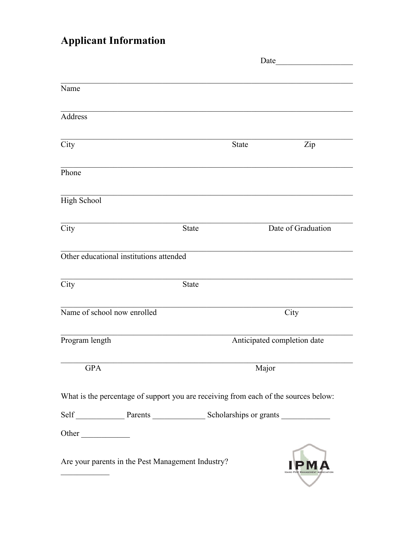## **Applicant Information**

|                                         |                                                                                     | Date                        |                    |  |
|-----------------------------------------|-------------------------------------------------------------------------------------|-----------------------------|--------------------|--|
|                                         |                                                                                     |                             |                    |  |
| Name                                    |                                                                                     |                             |                    |  |
|                                         |                                                                                     |                             |                    |  |
| Address                                 |                                                                                     |                             |                    |  |
| City                                    |                                                                                     | <b>State</b>                | Zip                |  |
|                                         |                                                                                     |                             |                    |  |
| Phone                                   |                                                                                     |                             |                    |  |
| <b>High School</b>                      |                                                                                     |                             |                    |  |
| City                                    | <b>State</b>                                                                        |                             | Date of Graduation |  |
| Other educational institutions attended |                                                                                     |                             |                    |  |
| City                                    | <b>State</b>                                                                        |                             |                    |  |
|                                         |                                                                                     |                             |                    |  |
| Name of school now enrolled             |                                                                                     |                             | City               |  |
| Program length                          |                                                                                     | Anticipated completion date |                    |  |
| <b>GPA</b>                              |                                                                                     | Major                       |                    |  |
|                                         | What is the percentage of support you are receiving from each of the sources below: |                             |                    |  |
|                                         |                                                                                     |                             |                    |  |
| Other                                   |                                                                                     |                             |                    |  |
|                                         | Are your parents in the Pest Management Industry?                                   |                             |                    |  |